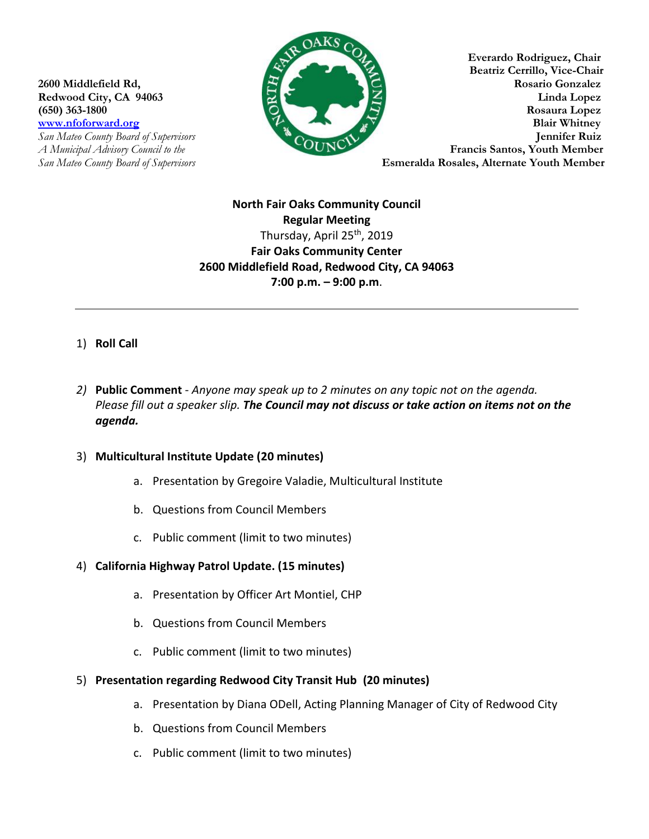

**Everardo Rodriguez, Chair Beatriz Cerrillo, Vice-Chair 2600 Middlefield Rd, Rosario Gonzalez Redwood City, CA 94063 Linda Lopez (650) 363-1800 Rosaura Lopez** *www.nfoforward.org* **<b>Blair Whitney Blair Whitney** *San Mateo County Board of Supervisors* **Jennifer Ruiz**  *A Municipal Advisory Council to the* **Example 2008 Connect and Service Santos, Youth Member** *San Mateo County Board of Supervisors* **Esmeralda Rosales, Alternate Youth Member** 

> **North Fair Oaks Community Council Regular Meeting** Thursday, April 25<sup>th</sup>, 2019 **Fair Oaks Community Center 2600 Middlefield Road, Redwood City, CA 94063 7:00 p.m. – 9:00 p.m**.

# 1) **Roll Call**

*2)* **Public Comment** - *Anyone may speak up to 2 minutes on any topic not on the agenda. Please fill out a speaker slip. The Council may not discuss or take action on items not on the agenda.*

#### 3) **Multicultural Institute Update (20 minutes)**

- a. Presentation by Gregoire Valadie, Multicultural Institute
- b. Questions from Council Members
- c. Public comment (limit to two minutes)

#### 4) **California Highway Patrol Update. (15 minutes)**

- a. Presentation by Officer Art Montiel, CHP
- b. Questions from Council Members
- c. Public comment (limit to two minutes)
- 5) **Presentation regarding Redwood City Transit Hub (20 minutes)** 
	- a. Presentation by Diana ODell, Acting Planning Manager of City of Redwood City
	- b. Questions from Council Members
	- c. Public comment (limit to two minutes)